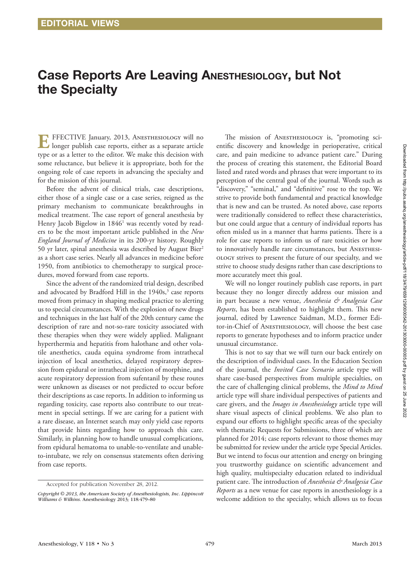## Case Reports Are Leaving ANESTHESIOLOGY, but Not the Specialty

FFECTIVE January, 2013, ANESTHESIOLOGY will no I longer publish case reports, either as a separate article type or as a letter to the editor. We make this decision with some reluctance, but believe it is appropriate, both for the ongoing role of case reports in advancing the specialty and for the mission of this journal.

Before the advent of clinical trials, case descriptions, either those of a single case or a case series, reigned as the primary mechanism to communicate breakthroughs in medical treatment. The case report of general anesthesia by Henry Jacob Bigelow in 1846<sup>1</sup> was recently voted by readers to be the most important article published in the *New England Journal of Medicine* in its 200-yr history. Roughly 50 yr later, spinal anesthesia was described by August Bier2 as a short case series. Nearly all advances in medicine before 1950, from antibiotics to chemotherapy to surgical procedures, moved forward from case reports.

Since the advent of the randomized trial design, described and advocated by Bradford Hill in the 1940s,<sup>3</sup> case reports moved from primacy in shaping medical practice to alerting us to special circumstances. With the explosion of new drugs and techniques in the last half of the 20th century came the description of rare and not-so-rare toxicity associated with these therapies when they were widely applied. Malignant hyperthermia and hepatitis from halothane and other volatile anesthetics, cauda equina syndrome from intrathecal injection of local anesthetics, delayed respiratory depression from epidural or intrathecal injection of morphine, and acute respiratory depression from sufentanil by these routes were unknown as diseases or not predicted to occur before their descriptions as case reports. In addition to informing us regarding toxicity, case reports also contribute to our treatment in special settings. If we are caring for a patient with a rare disease, an Internet search may only yield case reports that provide hints regarding how to approach this care. Similarly, in planning how to handle unusual complications, from epidural hematoma to unable-to-ventilate and unableto-intubate, we rely on consensus statements often deriving from case reports.

The mission of ANESTHESIOLOGY is, "promoting scientific discovery and knowledge in perioperative, critical care, and pain medicine to advance patient care." During the process of creating this statement, the Editorial Board listed and rated words and phrases that were important to its perception of the central goal of the journal. Words such as "discovery," "seminal," and "definitive" rose to the top. We strive to provide both fundamental and practical knowledge that is new and can be trusted. As noted above, case reports were traditionally considered to reflect these characteristics, but one could argue that a century of individual reports has often misled us in a manner that harms patients. There is a role for case reports to inform us of rare toxicities or how to innovatively handle rare circumstances, but ANESTHESIology strives to present the future of our specialty, and we strive to choose study designs rather than case descriptions to more accurately meet this goal.

We will no longer routinely publish case reports, in part because they no longer directly address our mission and in part because a new venue, *Anesthesia & Analgesia Case Reports*, has been established to highlight them. This new journal, edited by Lawrence Saidman, M.D., former Editor-in-Chief of Anesthesiology, will choose the best case reports to generate hypotheses and to inform practice under unusual circumstance.

This is not to say that we will turn our back entirely on the description of individual cases. In the Education Section of the journal, the *Invited Case Scenario* article type will share case-based perspectives from multiple specialties, on the care of challenging clinical problems, the *Mind to Mind* article type will share individual perspectives of patients and care givers, and the *Images in Anesthesiology* article type will share visual aspects of clinical problems. We also plan to expand our efforts to highlight specific areas of the specialty with thematic Requests for Submissions, three of which are planned for 2014; case reports relevant to those themes may be submitted for review under the article type Special Articles. But we intend to focus our attention and energy on bringing you trustworthy guidance on scientific advancement and high quality, multispecialty education related to individual patient care. The introduction of *Anesthesia & Analgesia Case Reports* as a new venue for case reports in anesthesiology is a welcome addition to the specialty, which allows us to focus

Accepted for publication November 28, 2012.

*Copyright © 2013, the American Society of Anesthesiologists, Inc. Lippincott Williams & Wilkins.* Anesthesiology 2013*;* 118*:*479*–*80